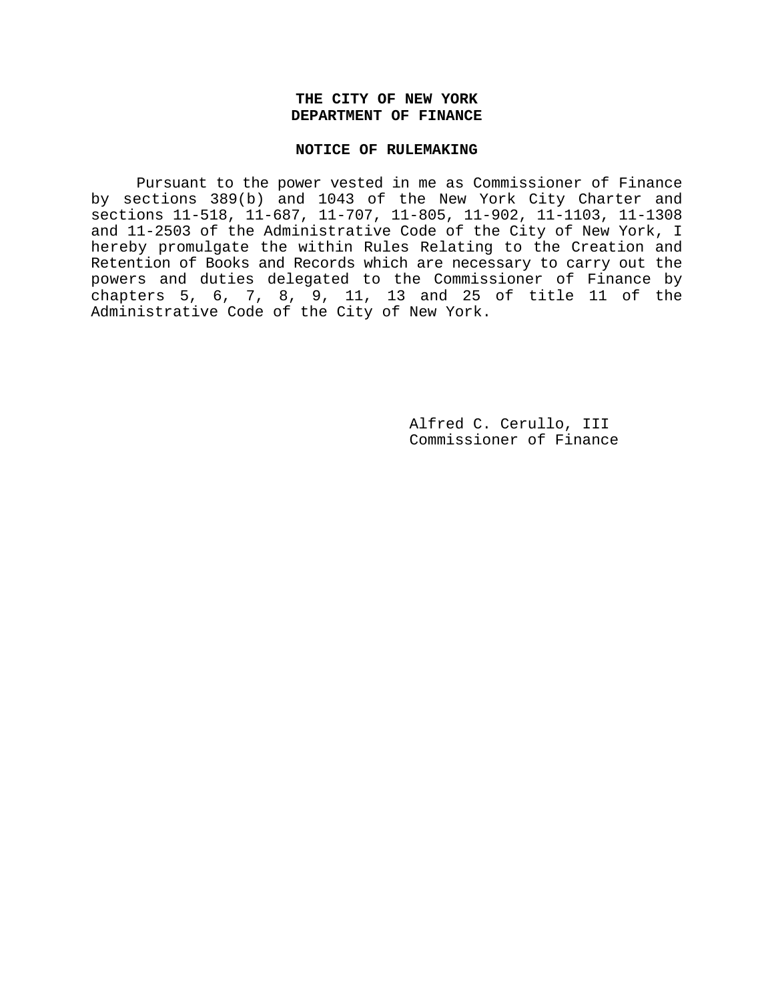# **THE CITY OF NEW YORK DEPARTMENT OF FINANCE**

#### **NOTICE OF RULEMAKING**

Pursuant to the power vested in me as Commissioner of Finance by sections 389(b) and 1043 of the New York City Charter and sections 11-518, 11-687, 11-707, 11-805, 11-902, 11-1103, 11-1308 and 11-2503 of the Administrative Code of the City of New York, I hereby promulgate the within Rules Relating to the Creation and Retention of Books and Records which are necessary to carry out the powers and duties delegated to the Commissioner of Finance by chapters 5, 6, 7, 8, 9, 11, 13 and 25 of title 11 of the Administrative Code of the City of New York.

> Alfred C. Cerullo, III Commissioner of Finance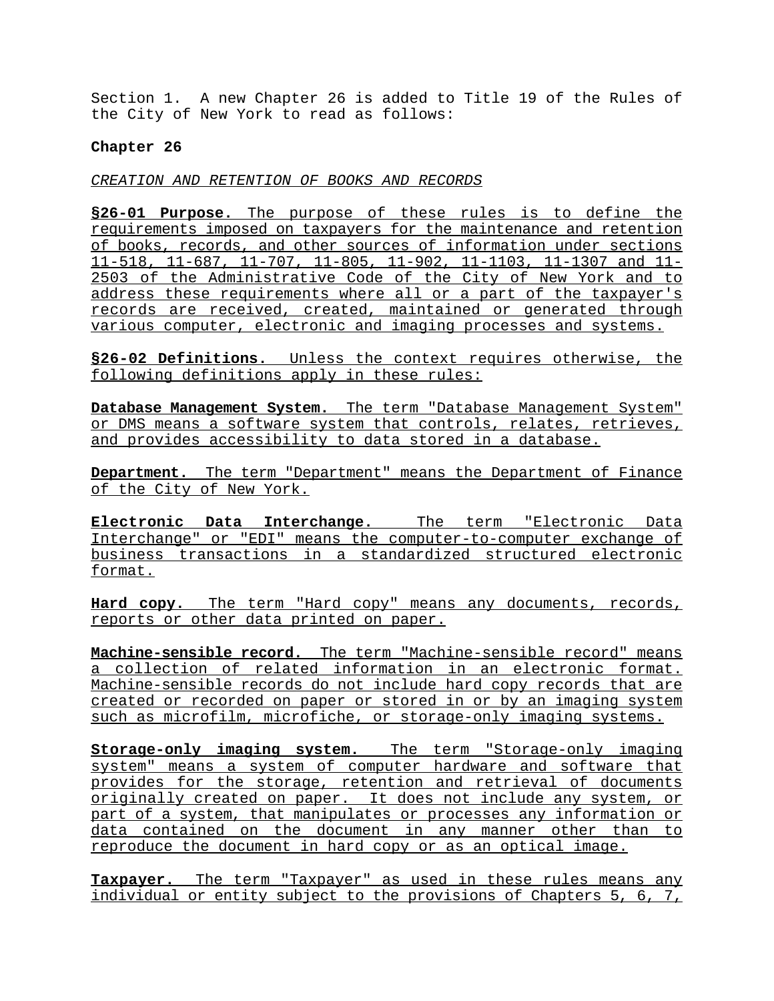Section 1. A new Chapter 26 is added to Title 19 of the Rules of the City of New York to read as follows:

# **Chapter 26**

*CREATION AND RETENTION OF BOOKS AND RECORDS*

**§26-01 Purpose.** The purpose of these rules is to define the requirements imposed on taxpayers for the maintenance and retention of books, records, and other sources of information under sections 11-518, 11-687, 11-707, 11-805, 11-902, 11-1103, 11-1307 and 11- 2503 of the Administrative Code of the City of New York and to address these requirements where all or a part of the taxpayer's records are received, created, maintained or generated through various computer, electronic and imaging processes and systems.

**§26-02 Definitions.** Unless the context requires otherwise, the following definitions apply in these rules:

**Database Management System.** The term "Database Management System" or DMS means a software system that controls, relates, retrieves, and provides accessibility to data stored in a database.

**Department.** The term "Department" means the Department of Finance of the City of New York.

**Electronic Data Interchange.** The term "Electronic Data Interchange" or "EDI" means the computer-to-computer exchange of business transactions in a standardized structured electronic format.

**Hard copy.** The term "Hard copy" means any documents, records, reports or other data printed on paper.

**Machine-sensible record.** The term "Machine-sensible record" means a collection of related information in an electronic format. Machine-sensible records do not include hard copy records that are created or recorded on paper or stored in or by an imaging system such as microfilm, microfiche, or storage-only imaging systems.

**Storage-only imaging system.** The term "Storage-only imaging system" means a system of computer hardware and software that provides for the storage, retention and retrieval of documents originally created on paper. It does not include any system, or part of a system, that manipulates or processes any information or data contained on the document in any manner other than to reproduce the document in hard copy or as an optical image.

**Taxpayer.** The term "Taxpayer" as used in these rules means any individual or entity subject to the provisions of Chapters 5, 6, 7,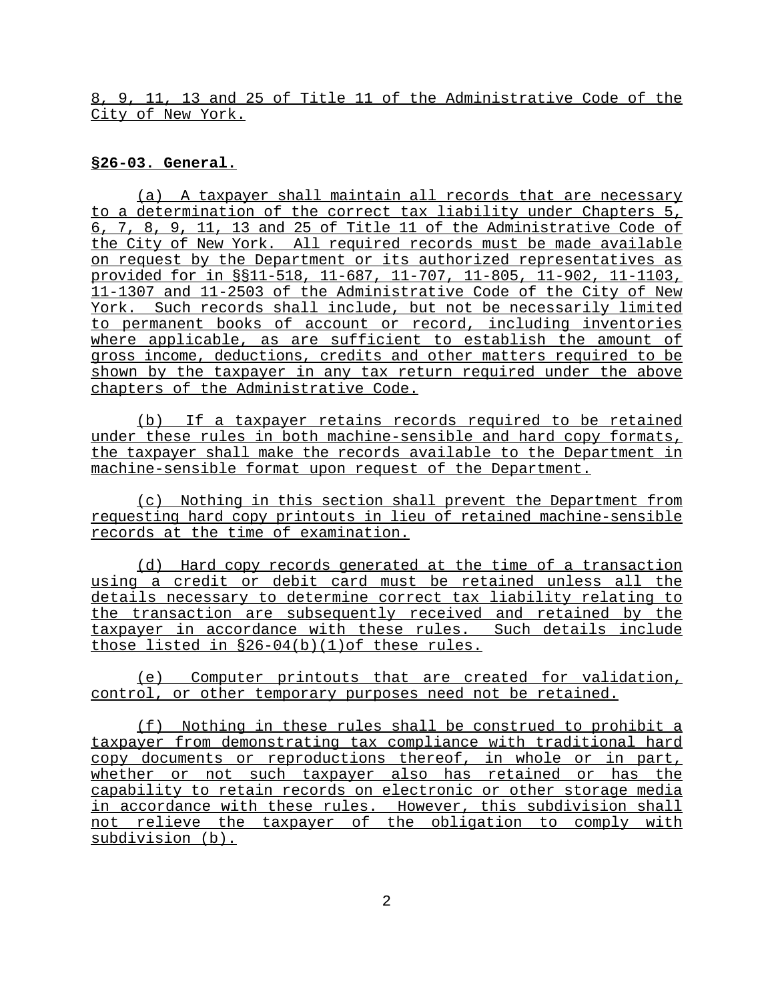8, 9, 11, 13 and 25 of Title 11 of the Administrative Code of the City of New York.

#### **§26-03. General.**

(a) A taxpayer shall maintain all records that are necessary to a determination of the correct tax liability under Chapters 5, 6, 7, 8, 9, 11, 13 and 25 of Title 11 of the Administrative Code of the City of New York. All required records must be made available on request by the Department or its authorized representatives as provided for in §§11-518, 11-687, 11-707, 11-805, 11-902, 11-1103, 11-1307 and 11-2503 of the Administrative Code of the City of New York. Such records shall include, but not be necessarily limited to permanent books of account or record, including inventories where applicable, as are sufficient to establish the amount of gross income, deductions, credits and other matters required to be shown by the taxpayer in any tax return required under the above chapters of the Administrative Code.

(b) If a taxpayer retains records required to be retained under these rules in both machine-sensible and hard copy formats, the taxpayer shall make the records available to the Department in machine-sensible format upon request of the Department.

(c) Nothing in this section shall prevent the Department from requesting hard copy printouts in lieu of retained machine-sensible records at the time of examination.

(d) Hard copy records generated at the time of a transaction using a credit or debit card must be retained unless all the details necessary to determine correct tax liability relating to the transaction are subsequently received and retained by the taxpayer in accordance with these rules. Such details include those listed in §26-04(b)(1)of these rules.

(e) Computer printouts that are created for validation, control, or other temporary purposes need not be retained.

(f) Nothing in these rules shall be construed to prohibit a taxpayer from demonstrating tax compliance with traditional hard copy documents or reproductions thereof, in whole or in part, whether or not such taxpayer also has retained or has the capability to retain records on electronic or other storage media in accordance with these rules. However, this subdivision shall not relieve the taxpayer of the obligation to comply with subdivision (b).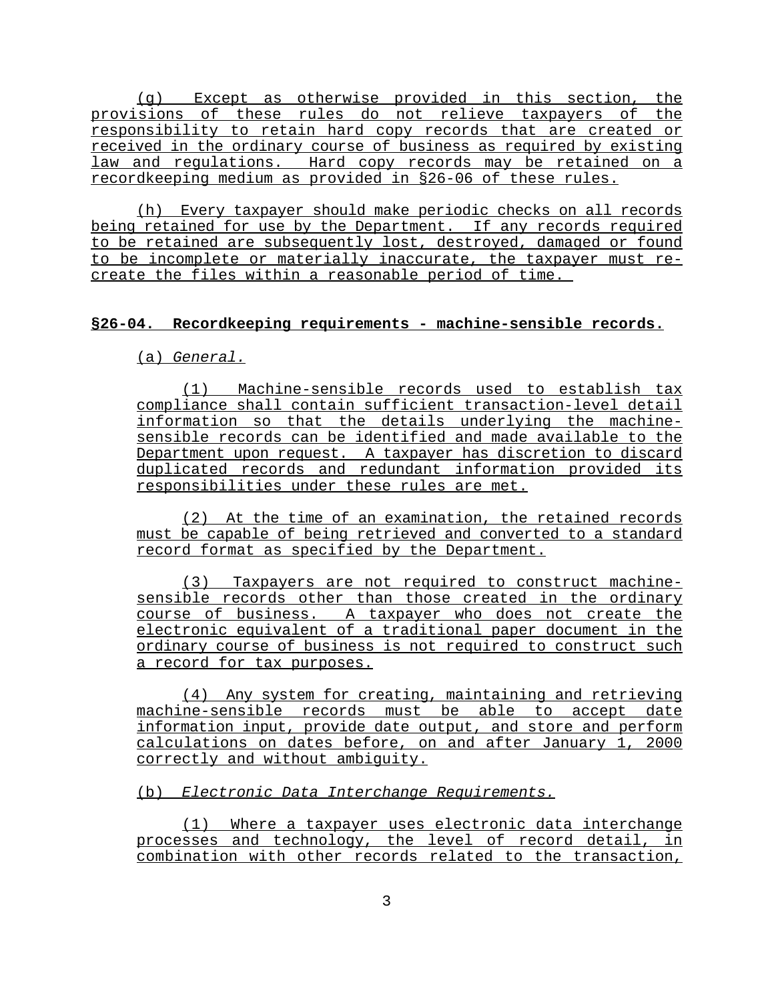(g) Except as otherwise provided in this section, the provisions of these rules do not relieve taxpayers of the responsibility to retain hard copy records that are created or received in the ordinary course of business as required by existing law and regulations. Hard copy records may be retained on a recordkeeping medium as provided in §26-06 of these rules.

(h) Every taxpayer should make periodic checks on all records being retained for use by the Department. If any records required to be retained are subsequently lost, destroyed, damaged or found to be incomplete or materially inaccurate, the taxpayer must recreate the files within a reasonable period of time.

## **§26-04. Recordkeeping requirements - machine-sensible records.**

(a) *General.*

(1) Machine-sensible records used to establish tax compliance shall contain sufficient transaction-level detail information so that the details underlying the machinesensible records can be identified and made available to the Department upon request. A taxpayer has discretion to discard duplicated records and redundant information provided its responsibilities under these rules are met.

(2) At the time of an examination, the retained records must be capable of being retrieved and converted to a standard record format as specified by the Department.

(3) Taxpayers are not required to construct machinesensible records other than those created in the ordinary course of business. A taxpayer who does not create the electronic equivalent of a traditional paper document in the ordinary course of business is not required to construct such a record for tax purposes.

(4) Any system for creating, maintaining and retrieving machine-sensible records must be able to accept date information input, provide date output, and store and perform calculations on dates before, on and after January 1, 2000 correctly and without ambiguity.

(b) *Electronic Data Interchange Requirements.*

(1) Where a taxpayer uses electronic data interchange processes and technology, the level of record detail, in combination with other records related to the transaction,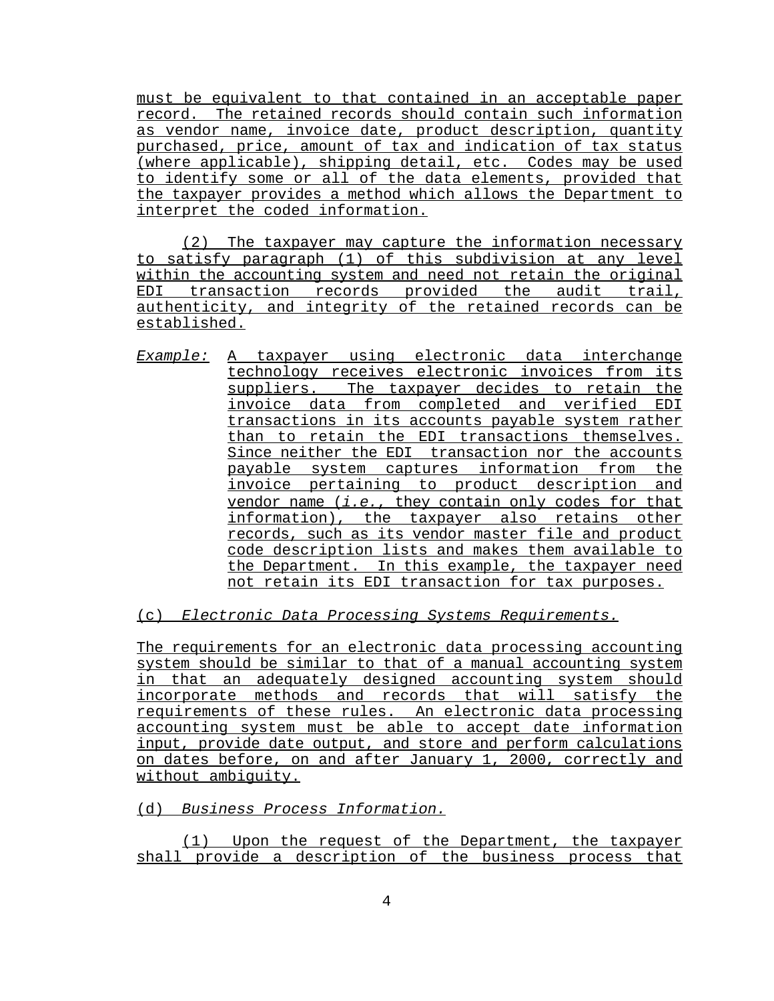must be equivalent to that contained in an acceptable paper record. The retained records should contain such information as vendor name, invoice date, product description, quantity purchased, price, amount of tax and indication of tax status (where applicable), shipping detail, etc. Codes may be used to identify some or all of the data elements, provided that the taxpayer provides a method which allows the Department to interpret the coded information.

(2) The taxpayer may capture the information necessary to satisfy paragraph (1) of this subdivision at any level within the accounting system and need not retain the original EDI transaction records provided the audit trail, authenticity, and integrity of the retained records can be established.

*Example:* A taxpayer using electronic data interchange technology receives electronic invoices from its suppliers. The taxpayer decides to retain the invoice data from completed and verified EDI transactions in its accounts payable system rather than to retain the EDI transactions themselves. Since neither the EDI transaction nor the accounts payable system captures information from the invoice pertaining to product description and vendor name (*i.e.*, they contain only codes for that information), the taxpayer also retains other records, such as its vendor master file and product code description lists and makes them available to the Department. In this example, the taxpayer need not retain its EDI transaction for tax purposes.

(c) *Electronic Data Processing Systems Requirements.*

The requirements for an electronic data processing accounting system should be similar to that of a manual accounting system in that an adequately designed accounting system should incorporate methods and records that will satisfy the requirements of these rules. An electronic data processing accounting system must be able to accept date information input, provide date output, and store and perform calculations on dates before, on and after January 1, 2000, correctly and without ambiguity.

(d) *Business Process Information.*

(1) Upon the request of the Department, the taxpayer shall provide a description of the business process that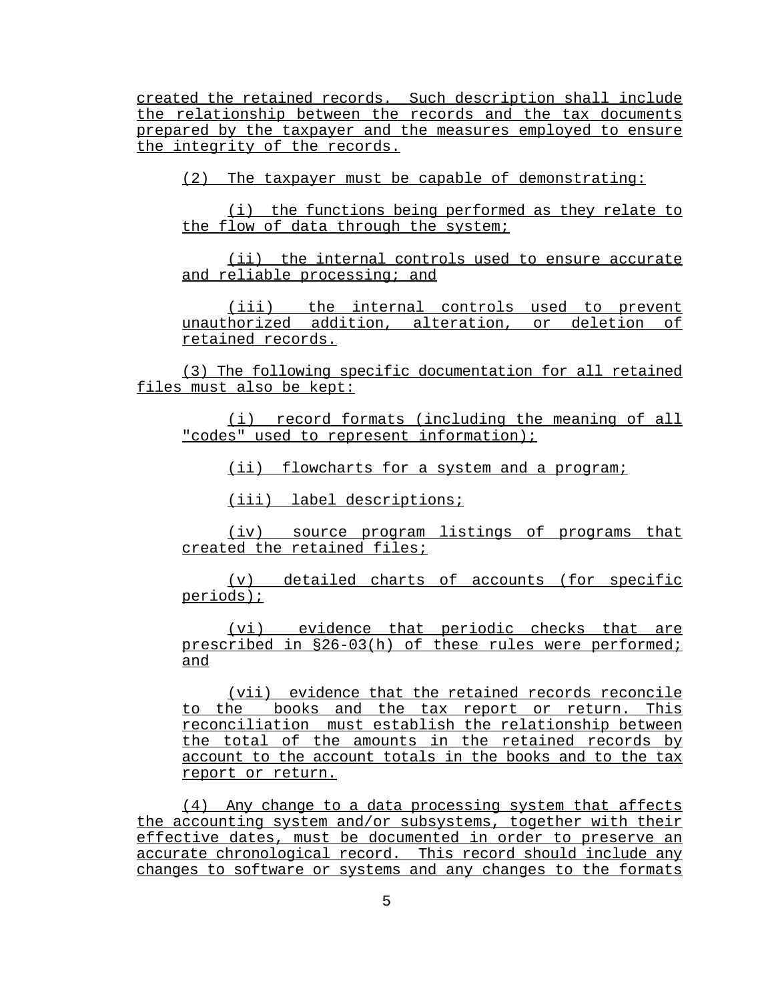created the retained records. Such description shall include the relationship between the records and the tax documents prepared by the taxpayer and the measures employed to ensure the integrity of the records.

(2) The taxpayer must be capable of demonstrating:

(i) the functions being performed as they relate to the flow of data through the system;

(ii) the internal controls used to ensure accurate and reliable processing; and

(iii) the internal controls used to prevent unauthorized addition, alteration, or deletion of retained records.

(3) The following specific documentation for all retained files must also be kept:

(i) record formats (including the meaning of all "codes" used to represent information);

(ii) flowcharts for a system and a program;

(iii) label descriptions;

(iv) source program listings of programs that created the retained files;

(v) detailed charts of accounts (for specific periods);

(vi) evidence that periodic checks that are prescribed in §26-03(h) of these rules were performed; and

(vii) evidence that the retained records reconcile to the books and the tax report or return. This reconciliation must establish the relationship between the total of the amounts in the retained records by account to the account totals in the books and to the tax report or return.

(4) Any change to a data processing system that affects the accounting system and/or subsystems, together with their effective dates, must be documented in order to preserve an accurate chronological record. This record should include any changes to software or systems and any changes to the formats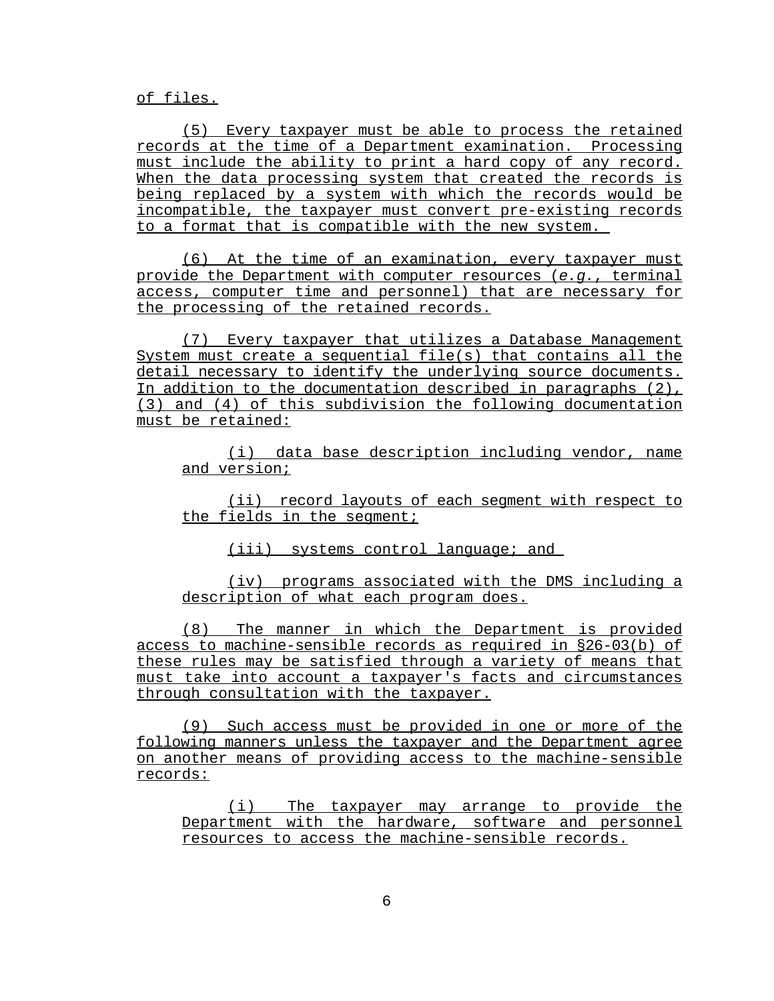of files.

(5) Every taxpayer must be able to process the retained records at the time of a Department examination. Processing must include the ability to print a hard copy of any record. When the data processing system that created the records is being replaced by a system with which the records would be incompatible, the taxpayer must convert pre-existing records to a format that is compatible with the new system.

(6) At the time of an examination, every taxpayer must provide the Department with computer resources (*e.g.*, terminal access, computer time and personnel) that are necessary for the processing of the retained records.

(7) Every taxpayer that utilizes a Database Management System must create a sequential file(s) that contains all the detail necessary to identify the underlying source documents. In addition to the documentation described in paragraphs (2), (3) and (4) of this subdivision the following documentation must be retained:

(i) data base description including vendor, name and version;

(ii) record layouts of each segment with respect to the fields in the segment;

(iii) systems control language; and

(iv) programs associated with the DMS including a description of what each program does.

(8) The manner in which the Department is provided access to machine-sensible records as required in §26-03(b) of these rules may be satisfied through a variety of means that must take into account a taxpayer's facts and circumstances through consultation with the taxpayer.

(9) Such access must be provided in one or more of the following manners unless the taxpayer and the Department agree on another means of providing access to the machine-sensible records:

(i) The taxpayer may arrange to provide the Department with the hardware, software and personnel resources to access the machine-sensible records.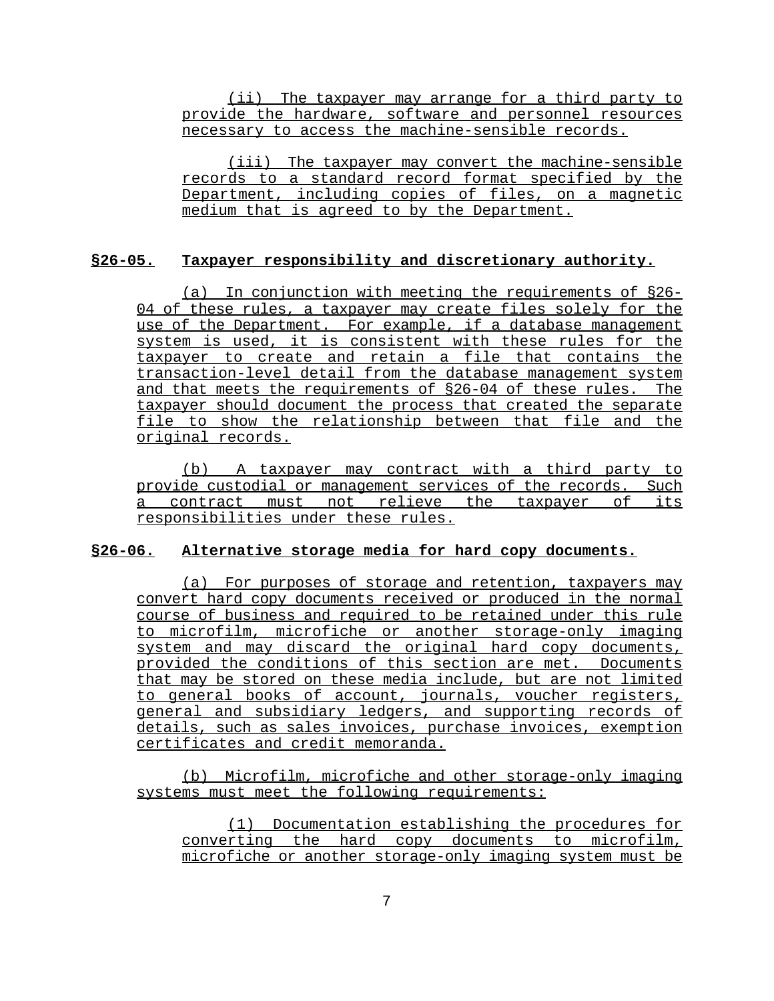(ii) The taxpayer may arrange for a third party to provide the hardware, software and personnel resources necessary to access the machine-sensible records.

(iii) The taxpayer may convert the machine-sensible records to a standard record format specified by the Department, including copies of files, on a magnetic medium that is agreed to by the Department.

## **§26-05. Taxpayer responsibility and discretionary authority.**

(a) In conjunction with meeting the requirements of §26- 04 of these rules, a taxpayer may create files solely for the use of the Department. For example, if a database management system is used, it is consistent with these rules for the taxpayer to create and retain a file that contains the transaction-level detail from the database management system and that meets the requirements of §26-04 of these rules. The taxpayer should document the process that created the separate file to show the relationship between that file and the original records.

(b) A taxpayer may contract with a third party to provide custodial or management services of the records. Such a contract must not relieve the taxpayer of its responsibilities under these rules.

#### **§26-06. Alternative storage media for hard copy documents.**

(a) For purposes of storage and retention, taxpayers may convert hard copy documents received or produced in the normal course of business and required to be retained under this rule to microfilm, microfiche or another storage-only imaging system and may discard the original hard copy documents, provided the conditions of this section are met. Documents that may be stored on these media include, but are not limited to general books of account, journals, voucher registers, general and subsidiary ledgers, and supporting records of details, such as sales invoices, purchase invoices, exemption certificates and credit memoranda.

(b) Microfilm, microfiche and other storage-only imaging systems must meet the following requirements:

(1) Documentation establishing the procedures for converting the hard copy documents to microfilm, microfiche or another storage-only imaging system must be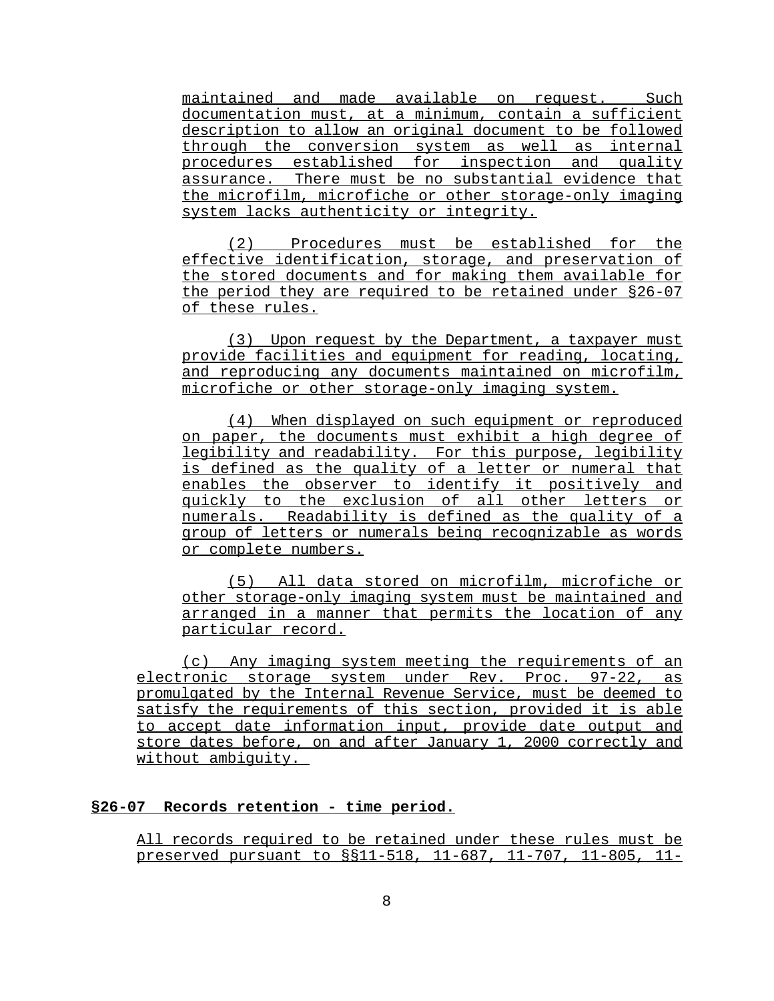maintained and made available on request. Such documentation must, at a minimum, contain a sufficient description to allow an original document to be followed through the conversion system as well as internal procedures established for inspection and quality assurance. There must be no substantial evidence that the microfilm, microfiche or other storage-only imaging system lacks authenticity or integrity.

(2) Procedures must be established for the effective identification, storage, and preservation of the stored documents and for making them available for the period they are required to be retained under §26-07 of these rules.

(3) Upon request by the Department, a taxpayer must provide facilities and equipment for reading, locating, and reproducing any documents maintained on microfilm, microfiche or other storage-only imaging system.

(4) When displayed on such equipment or reproduced on paper, the documents must exhibit a high degree of legibility and readability. For this purpose, legibility is defined as the quality of a letter or numeral that enables the observer to identify it positively and quickly to the exclusion of all other letters or numerals. Readability is defined as the quality of a group of letters or numerals being recognizable as words or complete numbers.

(5) All data stored on microfilm, microfiche or other storage-only imaging system must be maintained and arranged in a manner that permits the location of any particular record.

(c) Any imaging system meeting the requirements of an electronic storage system under Rev. Proc. 97-22, as promulgated by the Internal Revenue Service, must be deemed to satisfy the requirements of this section, provided it is able to accept date information input, provide date output and store dates before, on and after January 1, 2000 correctly and without ambiguity.

# **§26-07 Records retention - time period.**

All records required to be retained under these rules must be preserved pursuant to §§11-518, 11-687, 11-707, 11-805, 11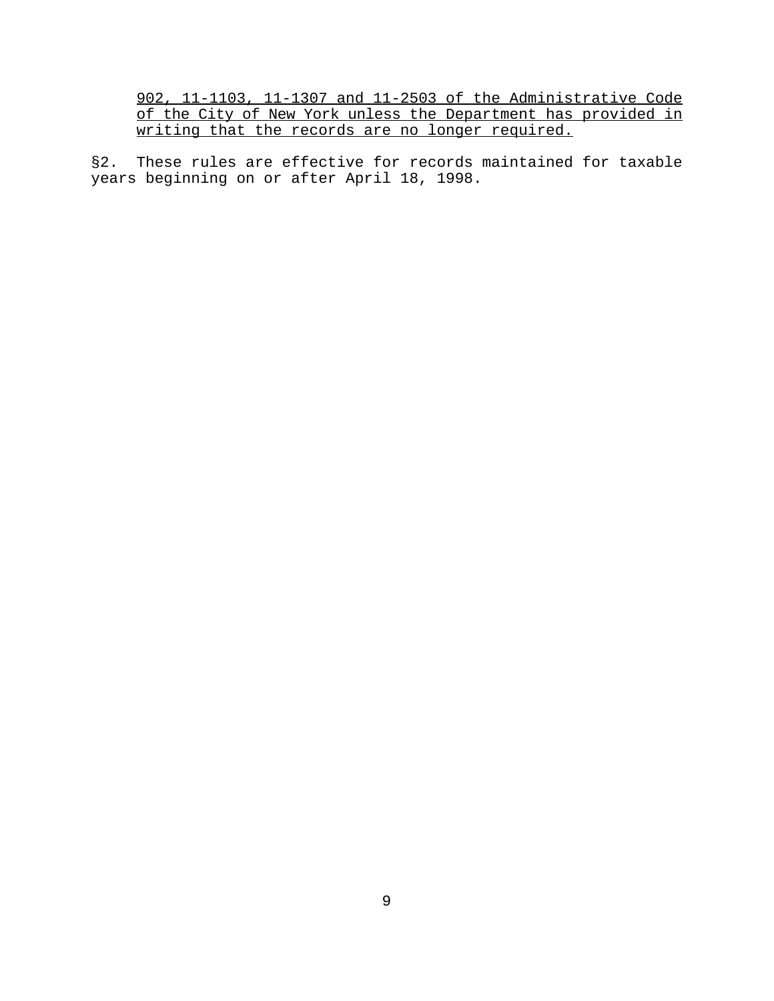902, 11-1103, 11-1307 and 11-2503 of the Administrative Code of the City of New York unless the Department has provided in writing that the records are no longer required.

§2. These rules are effective for records maintained for taxable years beginning on or after April 18, 1998.